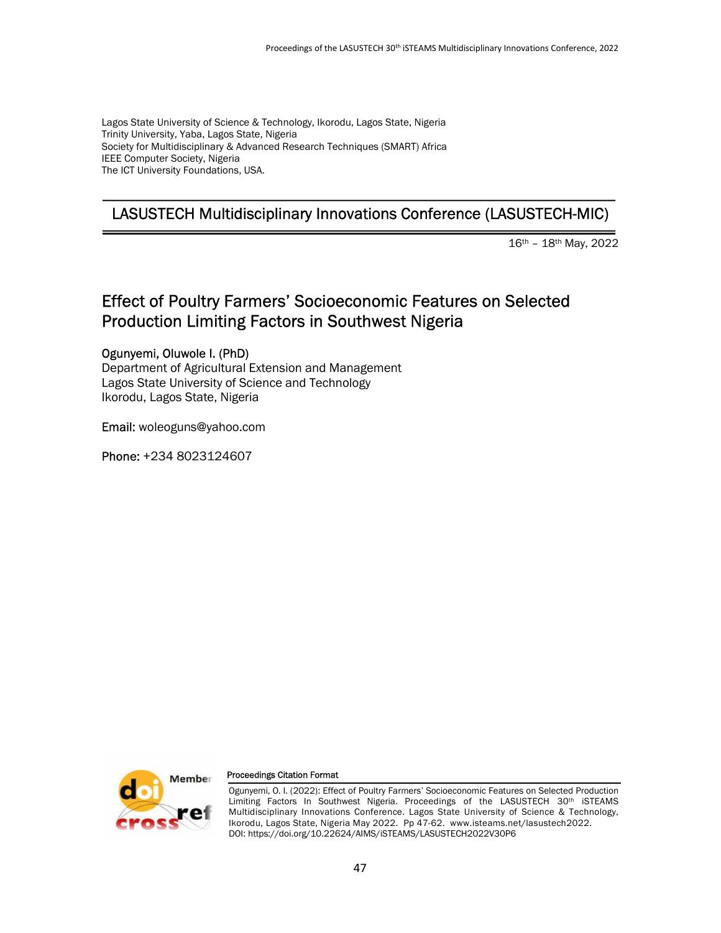Lagos State University of Science & Technology, Ikorodu, Lagos State, Nigeria Trinity University, Yaba, Lagos State, Nigeria Society for Multidisciplinary & Advanced Research Techniques (SMART) Africa IEEE Computer Society, Nigeria The ICT University Foundations, USA.

# LASUSTECH Multidisciplinary Innovations Conference (LASUSTECH-MIC)

16th – 18th May, 2022

# Effect of Poultry Farmers' Socioeconomic Features on Selected Production Limiting Factors in Southwest Nigeria

Ogunyemi, Oluwole I. (PhD) Department of Agricultural Extension and Management Lagos State University of Science and Technology Ikorodu, Lagos State, Nigeria

Email: woleoguns@yahoo.com

Phone: +234 8023124607



#### Proceedings Citation Format

Ogunyemi, O. I. (2022): Effect of Poultry Farmers' Socioeconomic Features on Selected Production Limiting Factors In Southwest Nigeria. Proceedings of the LASUSTECH 30<sup>th</sup> iSTEAMS Multidisciplinary Innovations Conference. Lagos State University of Science & Technology, Ikorodu, Lagos State, Nigeria May 2022. Pp 47-62. www.isteams.net/lasustech2022. DOI: https://doi.org/10.22624/AIMS/iSTEAMS/LASUSTECH2022V30P6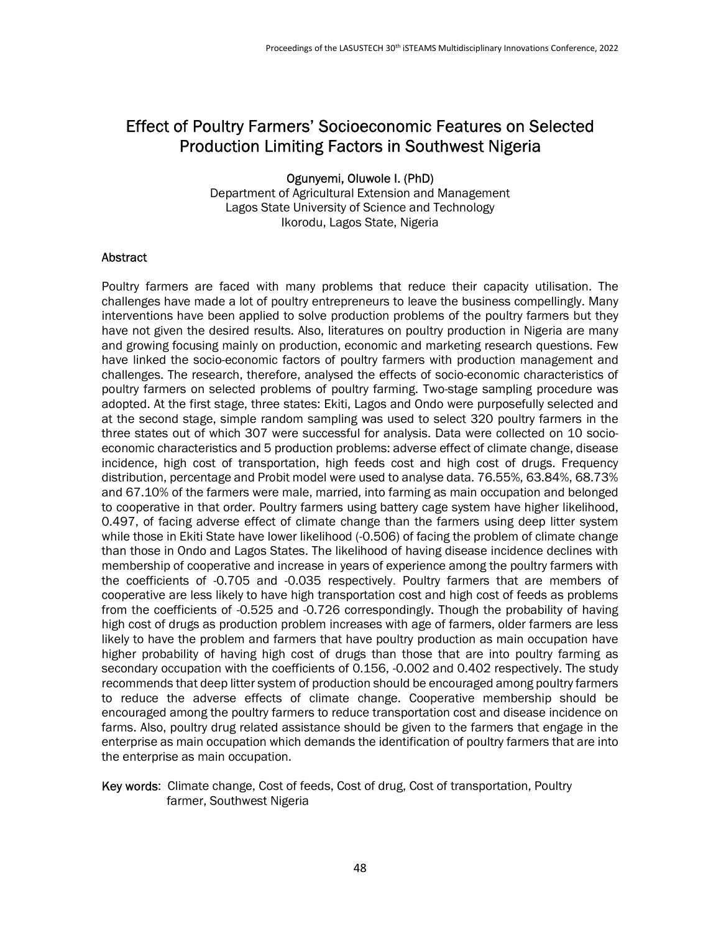# Effect of Poultry Farmers' Socioeconomic Features on Selected Production Limiting Factors in Southwest Nigeria

Ogunyemi, Oluwole I. (PhD)

Department of Agricultural Extension and Management Lagos State University of Science and Technology Ikorodu, Lagos State, Nigeria

#### Abstract

Poultry farmers are faced with many problems that reduce their capacity utilisation. The challenges have made a lot of poultry entrepreneurs to leave the business compellingly. Many interventions have been applied to solve production problems of the poultry farmers but they have not given the desired results. Also, literatures on poultry production in Nigeria are many and growing focusing mainly on production, economic and marketing research questions. Few have linked the socio-economic factors of poultry farmers with production management and challenges. The research, therefore, analysed the effects of socio-economic characteristics of poultry farmers on selected problems of poultry farming. Two-stage sampling procedure was adopted. At the first stage, three states: Ekiti, Lagos and Ondo were purposefully selected and at the second stage, simple random sampling was used to select 320 poultry farmers in the three states out of which 307 were successful for analysis. Data were collected on 10 socioeconomic characteristics and 5 production problems: adverse effect of climate change, disease incidence, high cost of transportation, high feeds cost and high cost of drugs. Frequency distribution, percentage and Probit model were used to analyse data. 76.55%, 63.84%, 68.73% and 67.10% of the farmers were male, married, into farming as main occupation and belonged to cooperative in that order. Poultry farmers using battery cage system have higher likelihood, 0.497, of facing adverse effect of climate change than the farmers using deep litter system while those in Ekiti State have lower likelihood (-0.506) of facing the problem of climate change than those in Ondo and Lagos States. The likelihood of having disease incidence declines with membership of cooperative and increase in years of experience among the poultry farmers with the coefficients of -0.705 and -0.035 respectively. Poultry farmers that are members of cooperative are less likely to have high transportation cost and high cost of feeds as problems from the coefficients of -0.525 and -0.726 correspondingly. Though the probability of having high cost of drugs as production problem increases with age of farmers, older farmers are less likely to have the problem and farmers that have poultry production as main occupation have higher probability of having high cost of drugs than those that are into poultry farming as secondary occupation with the coefficients of 0.156, -0.002 and 0.402 respectively. The study recommends that deep litter system of production should be encouraged among poultry farmers to reduce the adverse effects of climate change. Cooperative membership should be encouraged among the poultry farmers to reduce transportation cost and disease incidence on farms. Also, poultry drug related assistance should be given to the farmers that engage in the enterprise as main occupation which demands the identification of poultry farmers that are into the enterprise as main occupation.

#### Key words: Climate change, Cost of feeds, Cost of drug, Cost of transportation, Poultry farmer, Southwest Nigeria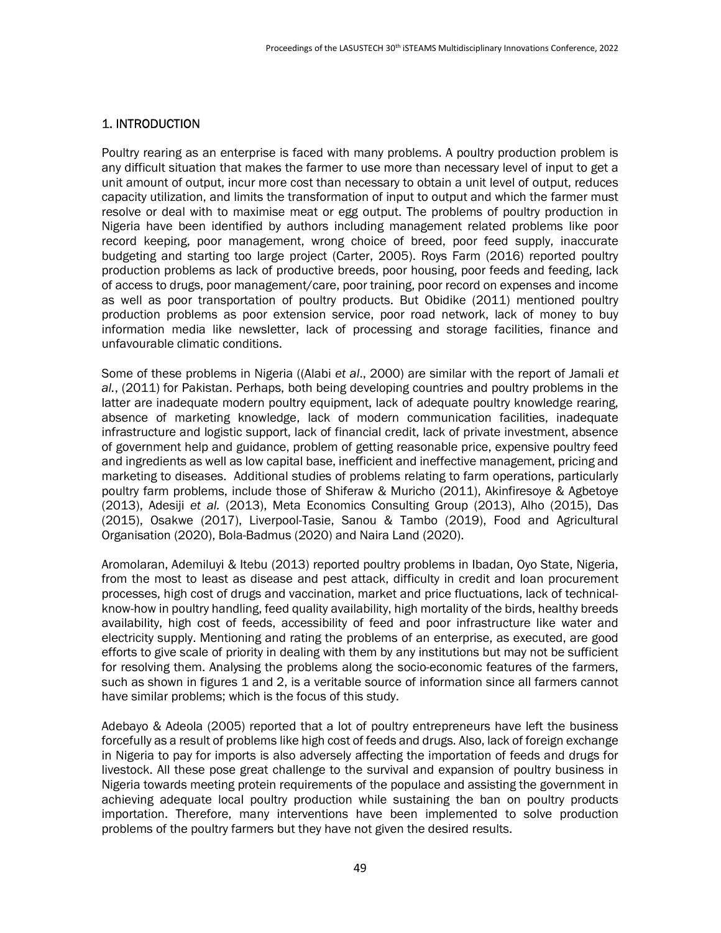## 1. INTRODUCTION

Poultry rearing as an enterprise is faced with many problems. A poultry production problem is any difficult situation that makes the farmer to use more than necessary level of input to get a unit amount of output, incur more cost than necessary to obtain a unit level of output, reduces capacity utilization, and limits the transformation of input to output and which the farmer must resolve or deal with to maximise meat or egg output. The problems of poultry production in Nigeria have been identified by authors including management related problems like poor record keeping, poor management, wrong choice of breed, poor feed supply, inaccurate budgeting and starting too large project (Carter, 2005). Roys Farm (2016) reported poultry production problems as lack of productive breeds, poor housing, poor feeds and feeding, lack of access to drugs, poor management/care, poor training, poor record on expenses and income as well as poor transportation of poultry products. But Obidike (2011) mentioned poultry production problems as poor extension service, poor road network, lack of money to buy information media like newsletter, lack of processing and storage facilities, finance and unfavourable climatic conditions.

Some of these problems in Nigeria ((Alabi et al., 2000) are similar with the report of Jamali et al., (2011) for Pakistan. Perhaps, both being developing countries and poultry problems in the latter are inadequate modern poultry equipment, lack of adequate poultry knowledge rearing, absence of marketing knowledge, lack of modern communication facilities, inadequate infrastructure and logistic support, lack of financial credit, lack of private investment, absence of government help and guidance, problem of getting reasonable price, expensive poultry feed and ingredients as well as low capital base, inefficient and ineffective management, pricing and marketing to diseases. Additional studies of problems relating to farm operations, particularly poultry farm problems, include those of Shiferaw & Muricho (2011), Akinfiresoye & Agbetoye (2013), Adesiji et al. (2013), Meta Economics Consulting Group (2013), Alho (2015), Das (2015), Osakwe (2017), Liverpool-Tasie, Sanou & Tambo (2019), Food and Agricultural Organisation (2020), Bola-Badmus (2020) and Naira Land (2020).

Aromolaran, Ademiluyi & Itebu (2013) reported poultry problems in Ibadan, Oyo State, Nigeria, from the most to least as disease and pest attack, difficulty in credit and loan procurement processes, high cost of drugs and vaccination, market and price fluctuations, lack of technicalknow-how in poultry handling, feed quality availability, high mortality of the birds, healthy breeds availability, high cost of feeds, accessibility of feed and poor infrastructure like water and electricity supply. Mentioning and rating the problems of an enterprise, as executed, are good efforts to give scale of priority in dealing with them by any institutions but may not be sufficient for resolving them. Analysing the problems along the socio-economic features of the farmers, such as shown in figures 1 and 2, is a veritable source of information since all farmers cannot have similar problems; which is the focus of this study.

Adebayo & Adeola (2005) reported that a lot of poultry entrepreneurs have left the business forcefully as a result of problems like high cost of feeds and drugs. Also, lack of foreign exchange in Nigeria to pay for imports is also adversely affecting the importation of feeds and drugs for livestock. All these pose great challenge to the survival and expansion of poultry business in Nigeria towards meeting protein requirements of the populace and assisting the government in achieving adequate local poultry production while sustaining the ban on poultry products importation. Therefore, many interventions have been implemented to solve production problems of the poultry farmers but they have not given the desired results.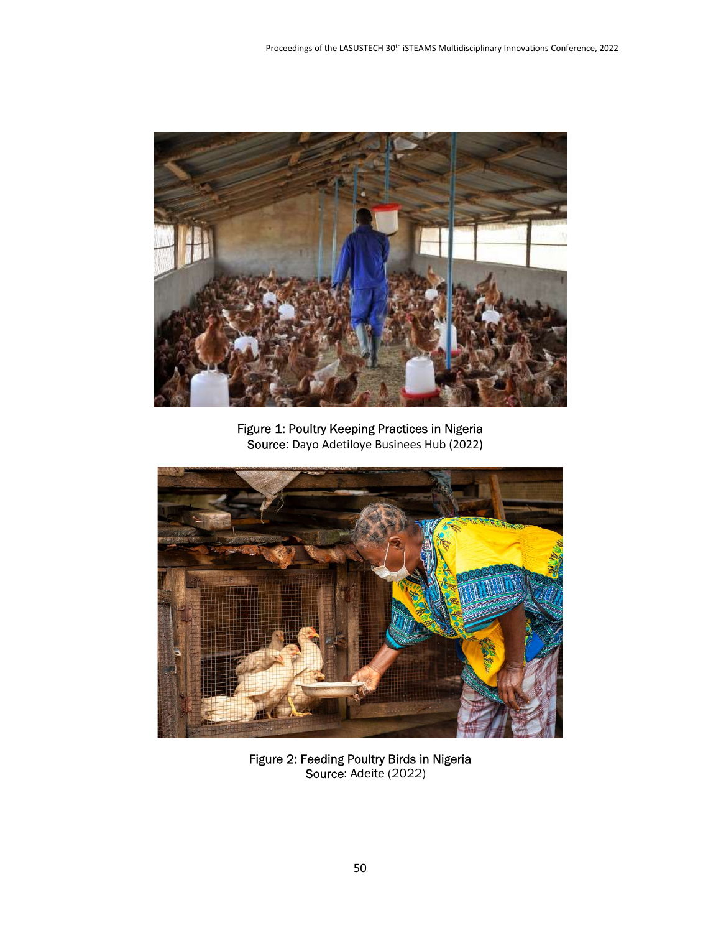

Figure 1: Poultry Keeping Practices in Nigeria Source: Dayo Adetiloye Businees Hub (2022)



Figure 2: Feeding Poultry Birds in Nigeria Source: Adeite (2022)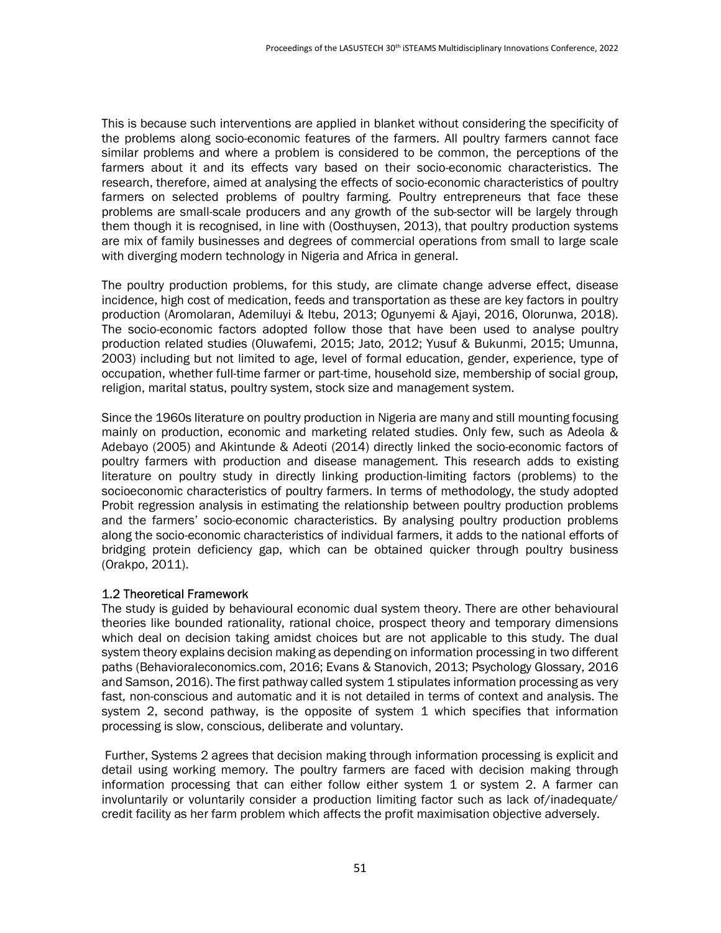This is because such interventions are applied in blanket without considering the specificity of the problems along socio-economic features of the farmers. All poultry farmers cannot face similar problems and where a problem is considered to be common, the perceptions of the farmers about it and its effects vary based on their socio-economic characteristics. The research, therefore, aimed at analysing the effects of socio-economic characteristics of poultry farmers on selected problems of poultry farming. Poultry entrepreneurs that face these problems are small-scale producers and any growth of the sub-sector will be largely through them though it is recognised, in line with (Oosthuysen, 2013), that poultry production systems are mix of family businesses and degrees of commercial operations from small to large scale with diverging modern technology in Nigeria and Africa in general.

The poultry production problems, for this study, are climate change adverse effect, disease incidence, high cost of medication, feeds and transportation as these are key factors in poultry production (Aromolaran, Ademiluyi & Itebu, 2013; Ogunyemi & Ajayi, 2016, Olorunwa, 2018). The socio-economic factors adopted follow those that have been used to analyse poultry production related studies (Oluwafemi, 2015; Jato, 2012; Yusuf & Bukunmi, 2015; Umunna, 2003) including but not limited to age, level of formal education, gender, experience, type of occupation, whether full-time farmer or part-time, household size, membership of social group, religion, marital status, poultry system, stock size and management system.

Since the 1960s literature on poultry production in Nigeria are many and still mounting focusing mainly on production, economic and marketing related studies. Only few, such as Adeola & Adebayo (2005) and Akintunde & Adeoti (2014) directly linked the socio-economic factors of poultry farmers with production and disease management. This research adds to existing literature on poultry study in directly linking production-limiting factors (problems) to the socioeconomic characteristics of poultry farmers. In terms of methodology, the study adopted Probit regression analysis in estimating the relationship between poultry production problems and the farmers' socio-economic characteristics. By analysing poultry production problems along the socio-economic characteristics of individual farmers, it adds to the national efforts of bridging protein deficiency gap, which can be obtained quicker through poultry business (Orakpo, 2011).

### 1.2 Theoretical Framework

The study is guided by behavioural economic dual system theory. There are other behavioural theories like bounded rationality, rational choice, prospect theory and temporary dimensions which deal on decision taking amidst choices but are not applicable to this study. The dual system theory explains decision making as depending on information processing in two different paths (Behavioraleconomics.com, 2016; Evans & Stanovich, 2013; Psychology Glossary, 2016 and Samson, 2016). The first pathway called system 1 stipulates information processing as very fast, non-conscious and automatic and it is not detailed in terms of context and analysis. The system 2, second pathway, is the opposite of system 1 which specifies that information processing is slow, conscious, deliberate and voluntary.

 Further, Systems 2 agrees that decision making through information processing is explicit and detail using working memory. The poultry farmers are faced with decision making through information processing that can either follow either system 1 or system 2. A farmer can involuntarily or voluntarily consider a production limiting factor such as lack of/inadequate/ credit facility as her farm problem which affects the profit maximisation objective adversely.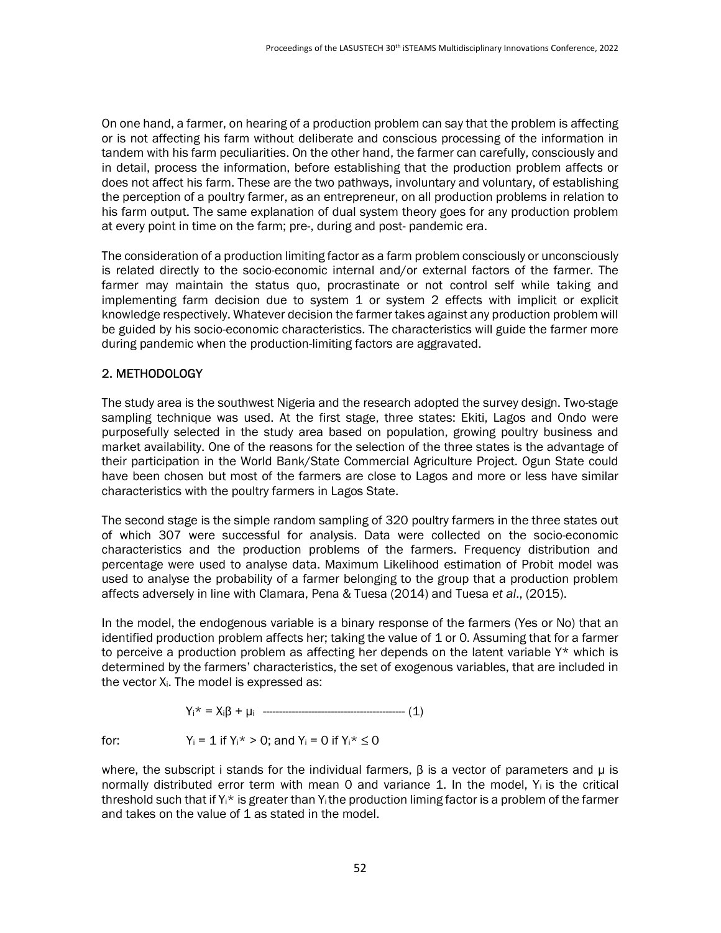On one hand, a farmer, on hearing of a production problem can say that the problem is affecting or is not affecting his farm without deliberate and conscious processing of the information in tandem with his farm peculiarities. On the other hand, the farmer can carefully, consciously and in detail, process the information, before establishing that the production problem affects or does not affect his farm. These are the two pathways, involuntary and voluntary, of establishing the perception of a poultry farmer, as an entrepreneur, on all production problems in relation to his farm output. The same explanation of dual system theory goes for any production problem at every point in time on the farm; pre-, during and post- pandemic era.

The consideration of a production limiting factor as a farm problem consciously or unconsciously is related directly to the socio-economic internal and/or external factors of the farmer. The farmer may maintain the status quo, procrastinate or not control self while taking and implementing farm decision due to system 1 or system 2 effects with implicit or explicit knowledge respectively. Whatever decision the farmer takes against any production problem will be guided by his socio-economic characteristics. The characteristics will guide the farmer more during pandemic when the production-limiting factors are aggravated.

### 2. METHODOLOGY

The study area is the southwest Nigeria and the research adopted the survey design. Two-stage sampling technique was used. At the first stage, three states: Ekiti, Lagos and Ondo were purposefully selected in the study area based on population, growing poultry business and market availability. One of the reasons for the selection of the three states is the advantage of their participation in the World Bank/State Commercial Agriculture Project. Ogun State could have been chosen but most of the farmers are close to Lagos and more or less have similar characteristics with the poultry farmers in Lagos State.

The second stage is the simple random sampling of 320 poultry farmers in the three states out of which 307 were successful for analysis. Data were collected on the socio-economic characteristics and the production problems of the farmers. Frequency distribution and percentage were used to analyse data. Maximum Likelihood estimation of Probit model was used to analyse the probability of a farmer belonging to the group that a production problem affects adversely in line with Clamara, Pena & Tuesa (2014) and Tuesa et al., (2015).

In the model, the endogenous variable is a binary response of the farmers (Yes or No) that an identified production problem affects her; taking the value of 1 or 0. Assuming that for a farmer to perceive a production problem as affecting her depends on the latent variable Y\* which is determined by the farmers' characteristics, the set of exogenous variables, that are included in the vector X<sub>i</sub>. The model is expressed as:

$$
Y_i^* = X_i \beta + \mu_i
$$
 \n $\frac{1}{2}$ 

for:  $Y_i = 1$  if  $Y_i^* > 0$ ; and  $Y_i = 0$  if  $Y_i^* \le 0$ 

where, the subscript i stands for the individual farmers,  $\beta$  is a vector of parameters and  $\mu$  is normally distributed error term with mean  $0$  and variance 1. In the model,  $Y_i$  is the critical threshold such that if  $Y_i^*$  is greater than  $Y_i$  the production liming factor is a problem of the farmer and takes on the value of 1 as stated in the model.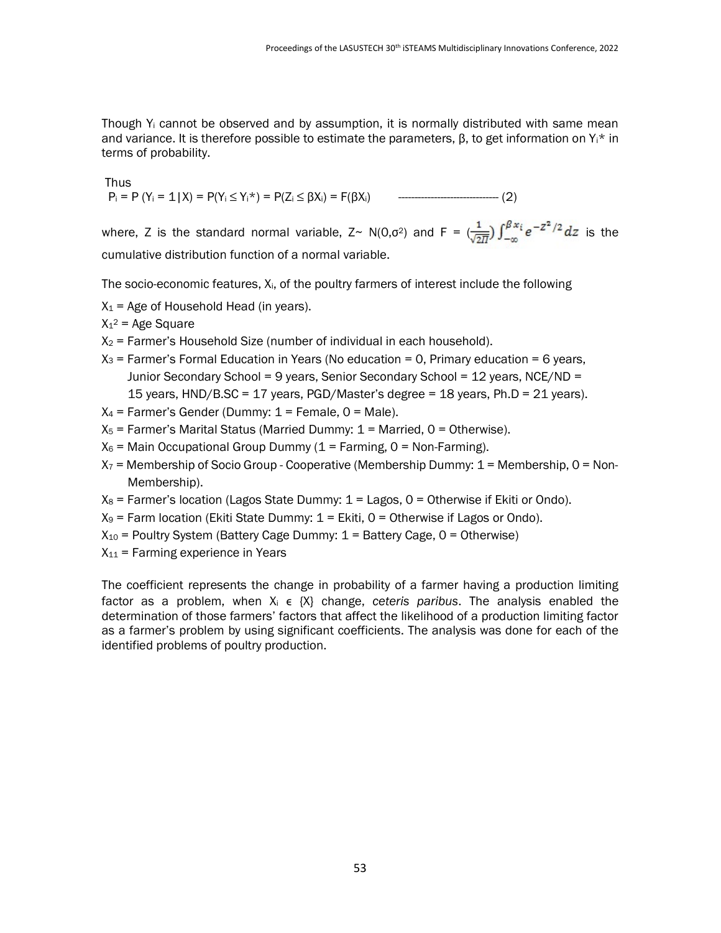Though  $Y_i$  cannot be observed and by assumption, it is normally distributed with same mean and variance. It is therefore possible to estimate the parameters,  $\beta$ , to get information on  $Y_i^*$  in terms of probability.

Thus

Pi = P (Yi = 1|X) = P(Yi ≤ Yi\*) = P(Zi ≤ βXi) = F(βXi) ------------------------------- (2)

where, Z is the standard normal variable, Z~ N(0, $\sigma^2$ ) and F =  $\left(\frac{1}{\sqrt{2\pi}}\right)\int_{-\infty}^{\beta x_i}e^{-Z^2/2}dz$  is the cumulative distribution function of a normal variable.

The socio-economic features, Xi, of the poultry farmers of interest include the following

 $X_1$  = Age of Household Head (in years).

 $X_1^2$  = Age Square

- $X_2$  = Farmer's Household Size (number of individual in each household).
- $X_3$  = Farmer's Formal Education in Years (No education = 0, Primary education = 6 years, Junior Secondary School = 9 years, Senior Secondary School = 12 years, NCE/ND = 15 years, HND/B.SC = 17 years, PGD/Master's degree = 18 years, Ph.D = 21 years).
- $X_4$  = Farmer's Gender (Dummy:  $1$  = Female,  $0$  = Male).
- $X_5$  = Farmer's Marital Status (Married Dummy:  $1$  = Married, 0 = Otherwise).
- $X_6$  = Main Occupational Group Dummy (1 = Farming, 0 = Non-Farming).
- $X_7$  = Membership of Socio Group Cooperative (Membership Dummy:  $1$  = Membership, 0 = Non-Membership).
- $X_8$  = Farmer's location (Lagos State Dummy:  $1 =$  Lagos,  $0 =$  Otherwise if Ekiti or Ondo).
- $X_9$  = Farm location (Ekiti State Dummy:  $1$  = Ekiti, 0 = Otherwise if Lagos or Ondo).
- $X_{10}$  = Poultry System (Battery Cage Dummy:  $1$  = Battery Cage, 0 = Otherwise)
- $X_{11}$  = Farming experience in Years

The coefficient represents the change in probability of a farmer having a production limiting factor as a problem, when  $X_i \in \{X\}$  change, ceteris paribus. The analysis enabled the determination of those farmers' factors that affect the likelihood of a production limiting factor as a farmer's problem by using significant coefficients. The analysis was done for each of the identified problems of poultry production.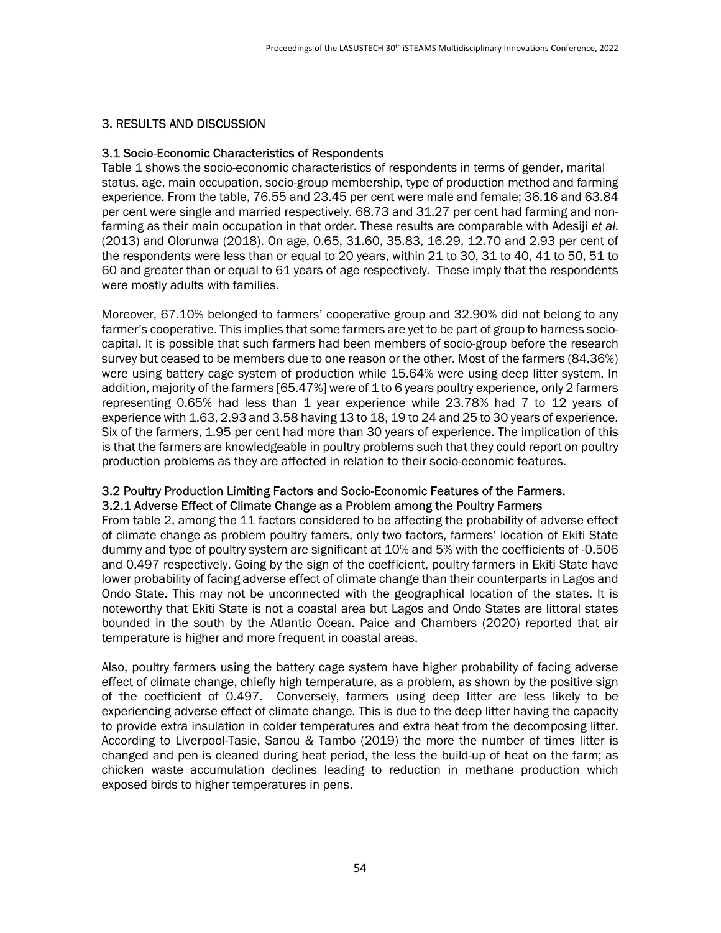### 3. RESULTS AND DISCUSSION

#### 3.1 Socio-Economic Characteristics of Respondents

Table 1 shows the socio-economic characteristics of respondents in terms of gender, marital status, age, main occupation, socio-group membership, type of production method and farming experience. From the table, 76.55 and 23.45 per cent were male and female; 36.16 and 63.84 per cent were single and married respectively. 68.73 and 31.27 per cent had farming and nonfarming as their main occupation in that order. These results are comparable with Adesiji et al. (2013) and Olorunwa (2018). On age, 0.65, 31.60, 35.83, 16.29, 12.70 and 2.93 per cent of the respondents were less than or equal to 20 years, within 21 to 30, 31 to 40, 41 to 50, 51 to 60 and greater than or equal to 61 years of age respectively. These imply that the respondents were mostly adults with families.

Moreover, 67.10% belonged to farmers' cooperative group and 32.90% did not belong to any farmer's cooperative. This implies that some farmers are yet to be part of group to harness sociocapital. It is possible that such farmers had been members of socio-group before the research survey but ceased to be members due to one reason or the other. Most of the farmers (84.36%) were using battery cage system of production while 15.64% were using deep litter system. In addition, majority of the farmers [65.47%] were of 1 to 6 years poultry experience, only 2 farmers representing 0.65% had less than 1 year experience while 23.78% had 7 to 12 years of experience with 1.63, 2.93 and 3.58 having 13 to 18, 19 to 24 and 25 to 30 years of experience. Six of the farmers, 1.95 per cent had more than 30 years of experience. The implication of this is that the farmers are knowledgeable in poultry problems such that they could report on poultry production problems as they are affected in relation to their socio-economic features.

### 3.2 Poultry Production Limiting Factors and Socio-Economic Features of the Farmers. 3.2.1 Adverse Effect of Climate Change as a Problem among the Poultry Farmers

From table 2, among the 11 factors considered to be affecting the probability of adverse effect of climate change as problem poultry famers, only two factors, farmers' location of Ekiti State dummy and type of poultry system are significant at 10% and 5% with the coefficients of -0.506 and 0.497 respectively. Going by the sign of the coefficient, poultry farmers in Ekiti State have lower probability of facing adverse effect of climate change than their counterparts in Lagos and Ondo State. This may not be unconnected with the geographical location of the states. It is noteworthy that Ekiti State is not a coastal area but Lagos and Ondo States are littoral states bounded in the south by the Atlantic Ocean. Paice and Chambers (2020) reported that air temperature is higher and more frequent in coastal areas.

Also, poultry farmers using the battery cage system have higher probability of facing adverse effect of climate change, chiefly high temperature, as a problem, as shown by the positive sign of the coefficient of 0.497. Conversely, farmers using deep litter are less likely to be experiencing adverse effect of climate change. This is due to the deep litter having the capacity to provide extra insulation in colder temperatures and extra heat from the decomposing litter. According to Liverpool-Tasie, Sanou & Tambo (2019) the more the number of times litter is changed and pen is cleaned during heat period, the less the build-up of heat on the farm; as chicken waste accumulation declines leading to reduction in methane production which exposed birds to higher temperatures in pens.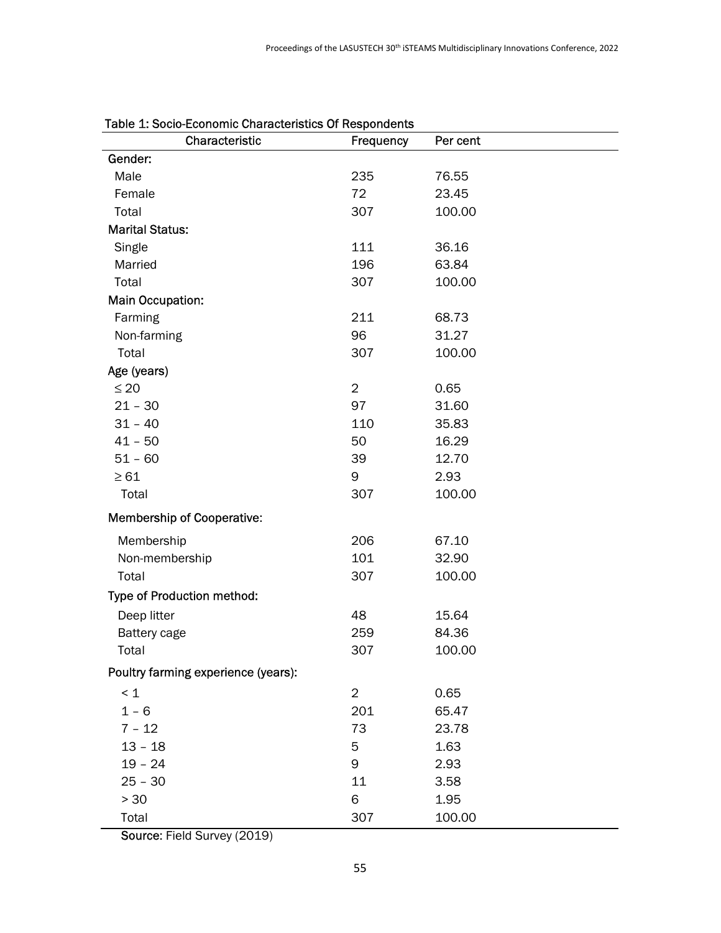| Characteristic                      | Frequency      | Per cent |
|-------------------------------------|----------------|----------|
| Gender:                             |                |          |
| Male                                | 235            | 76.55    |
| Female                              | 72             | 23.45    |
| Total                               | 307            | 100.00   |
| <b>Marital Status:</b>              |                |          |
| Single                              | 111            | 36.16    |
| Married                             | 196            | 63.84    |
| Total                               | 307            | 100.00   |
| Main Occupation:                    |                |          |
| Farming                             | 211            | 68.73    |
| Non-farming                         | 96             | 31.27    |
| Total                               | 307            | 100.00   |
| Age (years)                         |                |          |
| $\leq 20$                           | $\overline{2}$ | 0.65     |
| $21 - 30$                           | 97             | 31.60    |
| $31 - 40$                           | 110            | 35.83    |
| $41 - 50$                           | 50             | 16.29    |
| $51 - 60$                           | 39             | 12.70    |
| $\geq 61$                           | 9              | 2.93     |
| Total                               | 307            | 100.00   |
| <b>Membership of Cooperative:</b>   |                |          |
| Membership                          | 206            | 67.10    |
| Non-membership                      | 101            | 32.90    |
| Total                               | 307            | 100.00   |
| Type of Production method:          |                |          |
| Deep litter                         | 48             | 15.64    |
| Battery cage                        | 259            | 84.36    |
| Total                               | 307            | 100.00   |
| Poultry farming experience (years): |                |          |
| $\leq 1$                            | $\overline{2}$ | 0.65     |
| $1 - 6$                             | 201            | 65.47    |
| $7 - 12$                            | 73             | 23.78    |
| $13 - 18$                           | 5              | 1.63     |
| $19 - 24$                           | 9              | 2.93     |
| $25 - 30$                           | 11             | 3.58     |
| $> 30$                              | 6              | 1.95     |
| Total                               | 307            | 100.00   |

Source: Field Survey (2019)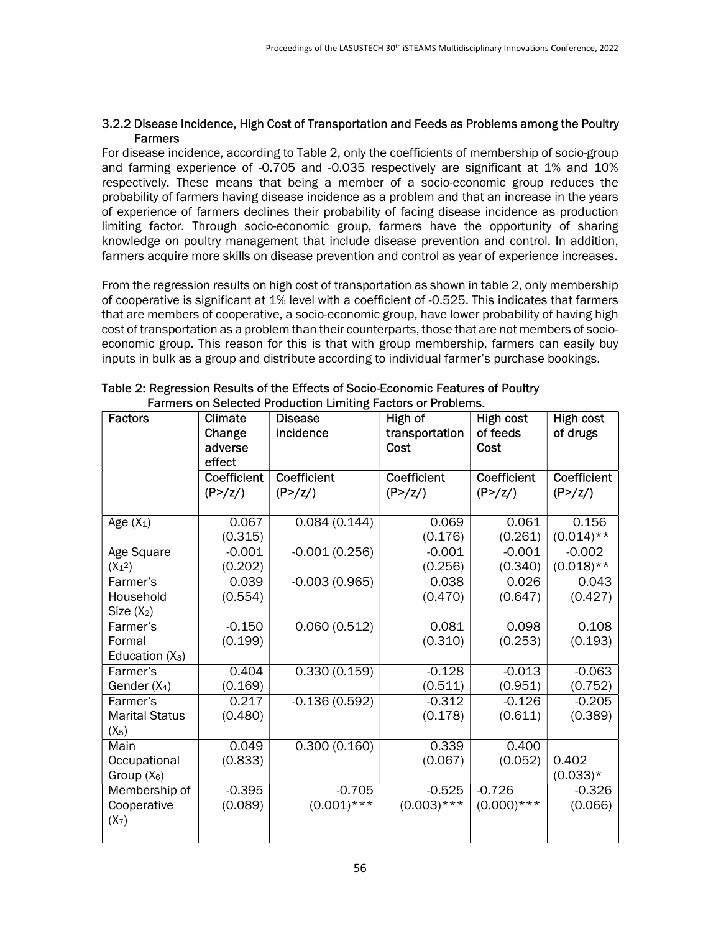#### 3.2.2 Disease Incidence, High Cost of Transportation and Feeds as Problems among the Poultry **Farmers**

For disease incidence, according to Table 2, only the coefficients of membership of socio-group and farming experience of -0.705 and -0.035 respectively are significant at 1% and 10% respectively. These means that being a member of a socio-economic group reduces the probability of farmers having disease incidence as a problem and that an increase in the years of experience of farmers declines their probability of facing disease incidence as production limiting factor. Through socio-economic group, farmers have the opportunity of sharing knowledge on poultry management that include disease prevention and control. In addition, farmers acquire more skills on disease prevention and control as year of experience increases.

From the regression results on high cost of transportation as shown in table 2, only membership of cooperative is significant at 1% level with a coefficient of -0.525. This indicates that farmers that are members of cooperative, a socio-economic group, have lower probability of having high cost of transportation as a problem than their counterparts, those that are not members of socioeconomic group. This reason for this is that with group membership, farmers can easily buy inputs in bulk as a group and distribute according to individual farmer's purchase bookings.

| <b>Factors</b>                               | Climate<br>Change<br>adverse<br>effect    | <b>Disease</b><br>incidence | High of<br>transportation<br>Cost  | High cost<br>of feeds<br>Cost             | High cost<br>of drugs    |
|----------------------------------------------|-------------------------------------------|-----------------------------|------------------------------------|-------------------------------------------|--------------------------|
|                                              | <b>Coefficient</b><br>(P>/ <sub>Z</sub> ) | Coefficient<br>(P>/Z)       | Coefficient<br>(P>/ <sub>Z</sub> ) | <b>Coefficient</b><br>(P>/ <sub>Z</sub> ) | Coefficient<br>(P>/Z)    |
| Age $(X_1)$                                  | 0.067<br>(0.315)                          | 0.084(0.144)                | 0.069<br>(0.176)                   | 0.061<br>(0.261)                          | 0.156<br>$(0.014)$ **    |
| Age Square<br>$(X_1^2)$                      | $-0.001$<br>(0.202)                       | $-0.001(0.256)$             | $-0.001$<br>(0.256)                | $-0.001$<br>(0.340)                       | $-0.002$<br>$(0.018)$ ** |
| Farmer's<br>Household<br>Size $(X_2)$        | 0.039<br>(0.554)                          | $-0.003(0.965)$             | 0.038<br>(0.470)                   | 0.026<br>(0.647)                          | 0.043<br>(0.427)         |
| Farmer's<br>Formal<br>Education $(X_3)$      | $-0.150$<br>(0.199)                       | 0.060(0.512)                | 0.081<br>(0.310)                   | 0.098<br>(0.253)                          | 0.108<br>(0.193)         |
| Farmer's<br>Gender $(X_4)$                   | 0.404<br>(0.169)                          | 0.330(0.159)                | $-0.128$<br>(0.511)                | $-0.013$<br>(0.951)                       | $-0.063$<br>(0.752)      |
| Farmer's<br><b>Marital Status</b><br>$(X_5)$ | 0.217<br>(0.480)                          | $-0.136(0.592)$             | $-0.312$<br>(0.178)                | $-0.126$<br>(0.611)                       | $-0.205$<br>(0.389)      |
| Main<br>Occupational<br>Group $(X_6)$        | 0.049<br>(0.833)                          | 0.300(0.160)                | 0.339<br>(0.067)                   | 0.400<br>(0.052)                          | 0.402<br>$(0.033)*$      |
| Membership of<br>Cooperative<br>$(X_7)$      | $-0.395$<br>(0.089)                       | $-0.705$<br>$(0.001)$ ***   | $-0.525$<br>$(0.003)$ ***          | $-0.726$<br>$(0.000)$ ***                 | $-0.326$<br>(0.066)      |

| Table 2: Regression Results of the Effects of Socio-Economic Features of Poultry |
|----------------------------------------------------------------------------------|
| Farmers on Selected Production Limiting Factors or Problems.                     |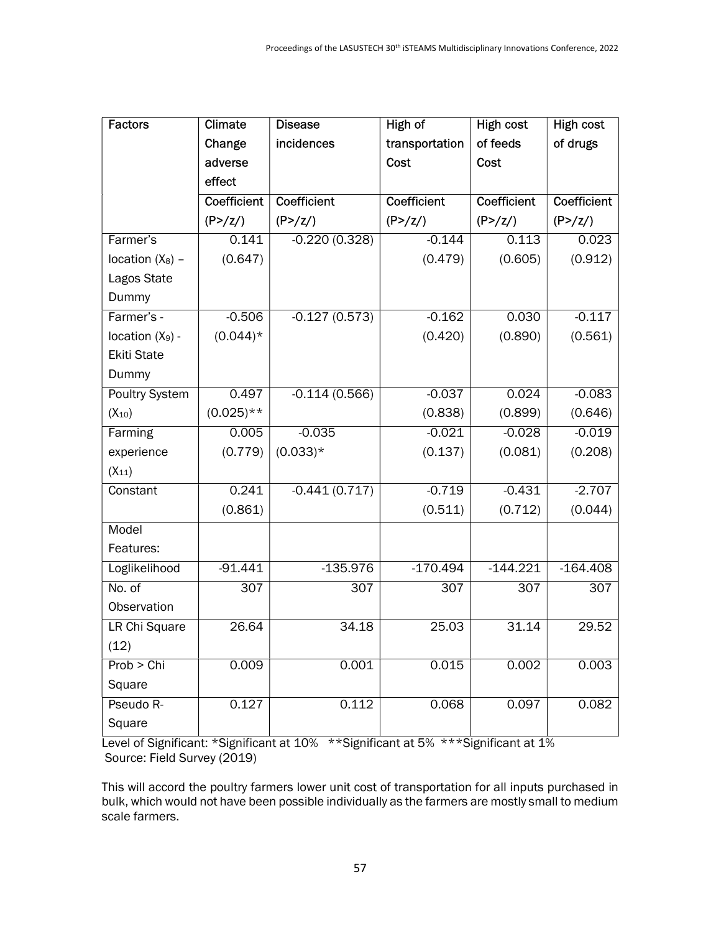| <b>Factors</b>     | Climate            | <b>Disease</b>      | High of             | <b>High cost</b>    | <b>High cost</b>    |
|--------------------|--------------------|---------------------|---------------------|---------------------|---------------------|
|                    | Change             | incidences          | transportation      | of feeds            | of drugs            |
|                    | adverse            |                     | Cost                | Cost                |                     |
|                    | effect             |                     |                     |                     |                     |
|                    | <b>Coefficient</b> | <b>Coefficient</b>  | <b>Coefficient</b>  | <b>Coefficient</b>  | Coefficient         |
|                    | (P>/Z)             | (P>/ <sub>Z</sub> ) | (P>/ <sub>z</sub> ) | (P>/ <sub>Z</sub> ) | (P>/ <sub>2</sub> ) |
| Farmer's           | 0.141              | $-0.220(0.328)$     | $-0.144$            | 0.113               | 0.023               |
| location $(X_8)$ - | (0.647)            |                     | (0.479)             | (0.605)             | (0.912)             |
| Lagos State        |                    |                     |                     |                     |                     |
| Dummy              |                    |                     |                     |                     |                     |
| Farmer's -         | $-0.506$           | $-0.127(0.573)$     | $-0.162$            | 0.030               | $-0.117$            |
| location $(X_9)$ - | $(0.044)$ *        |                     | (0.420)             | (0.890)             | (0.561)             |
| <b>Ekiti State</b> |                    |                     |                     |                     |                     |
| Dummy              |                    |                     |                     |                     |                     |
| Poultry System     | 0.497              | $-0.114(0.566)$     | $-0.037$            | 0.024               | $-0.083$            |
| $(X_{10})$         | $(0.025)$ **       |                     | (0.838)             | (0.899)             | (0.646)             |
| Farming            | 0.005              | $-0.035$            | $-0.021$            | $-0.028$            | $-0.019$            |
| experience         | (0.779)            | $(0.033)*$          | (0.137)             | (0.081)             | (0.208)             |
| $(X_{11})$         |                    |                     |                     |                     |                     |
| Constant           | 0.241              | $-0.441(0.717)$     | $-0.719$            | $-0.431$            | $-2.707$            |
|                    | (0.861)            |                     | (0.511)             | (0.712)             | (0.044)             |
| Model              |                    |                     |                     |                     |                     |
| Features:          |                    |                     |                     |                     |                     |
| Loglikelihood      | $-91.441$          | $-135.976$          | $-170.494$          | $-144.221$          | $-164.408$          |
| No. of             | 307                | 307                 | 307                 | 307                 | 307                 |
| Observation        |                    |                     |                     |                     |                     |
| LR Chi Square      | 26.64              | 34.18               | 25.03               | 31.14               | 29.52               |
| (12)               |                    |                     |                     |                     |                     |
| Prob > Chi         | 0.009              | 0.001               | 0.015               | 0.002               | 0.003               |
| Square             |                    |                     |                     |                     |                     |
| Pseudo R-          | 0.127              | 0.112               | 0.068               | 0.097               | 0.082               |
| Square             |                    |                     |                     |                     |                     |

Level of Significant: \*Significant at 10% \*\*Significant at 5% \*\*\*Significant at 1% Source: Field Survey (2019)

This will accord the poultry farmers lower unit cost of transportation for all inputs purchased in bulk, which would not have been possible individually as the farmers are mostly small to medium scale farmers.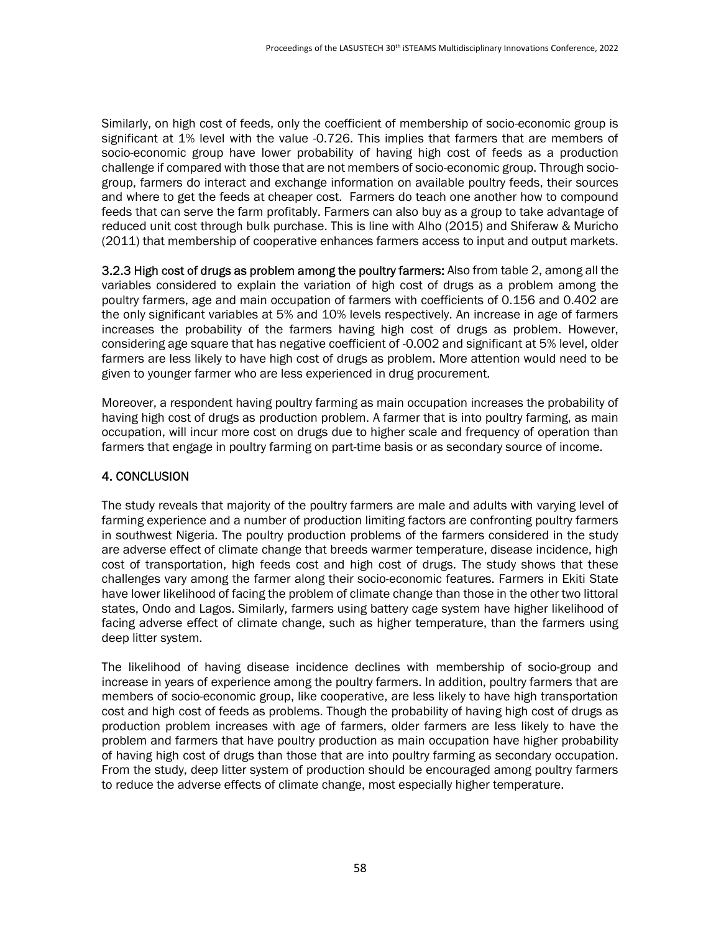Similarly, on high cost of feeds, only the coefficient of membership of socio-economic group is significant at 1% level with the value -0.726. This implies that farmers that are members of socio-economic group have lower probability of having high cost of feeds as a production challenge if compared with those that are not members of socio-economic group. Through sociogroup, farmers do interact and exchange information on available poultry feeds, their sources and where to get the feeds at cheaper cost. Farmers do teach one another how to compound feeds that can serve the farm profitably. Farmers can also buy as a group to take advantage of reduced unit cost through bulk purchase. This is line with Alho (2015) and Shiferaw & Muricho (2011) that membership of cooperative enhances farmers access to input and output markets.

3.2.3 High cost of drugs as problem among the poultry farmers: Also from table 2, among all the variables considered to explain the variation of high cost of drugs as a problem among the poultry farmers, age and main occupation of farmers with coefficients of 0.156 and 0.402 are the only significant variables at 5% and 10% levels respectively. An increase in age of farmers increases the probability of the farmers having high cost of drugs as problem. However, considering age square that has negative coefficient of -0.002 and significant at 5% level, older farmers are less likely to have high cost of drugs as problem. More attention would need to be given to younger farmer who are less experienced in drug procurement.

Moreover, a respondent having poultry farming as main occupation increases the probability of having high cost of drugs as production problem. A farmer that is into poultry farming, as main occupation, will incur more cost on drugs due to higher scale and frequency of operation than farmers that engage in poultry farming on part-time basis or as secondary source of income.

#### 4. CONCLUSION

The study reveals that majority of the poultry farmers are male and adults with varying level of farming experience and a number of production limiting factors are confronting poultry farmers in southwest Nigeria. The poultry production problems of the farmers considered in the study are adverse effect of climate change that breeds warmer temperature, disease incidence, high cost of transportation, high feeds cost and high cost of drugs. The study shows that these challenges vary among the farmer along their socio-economic features. Farmers in Ekiti State have lower likelihood of facing the problem of climate change than those in the other two littoral states, Ondo and Lagos. Similarly, farmers using battery cage system have higher likelihood of facing adverse effect of climate change, such as higher temperature, than the farmers using deep litter system.

The likelihood of having disease incidence declines with membership of socio-group and increase in years of experience among the poultry farmers. In addition, poultry farmers that are members of socio-economic group, like cooperative, are less likely to have high transportation cost and high cost of feeds as problems. Though the probability of having high cost of drugs as production problem increases with age of farmers, older farmers are less likely to have the problem and farmers that have poultry production as main occupation have higher probability of having high cost of drugs than those that are into poultry farming as secondary occupation. From the study, deep litter system of production should be encouraged among poultry farmers to reduce the adverse effects of climate change, most especially higher temperature.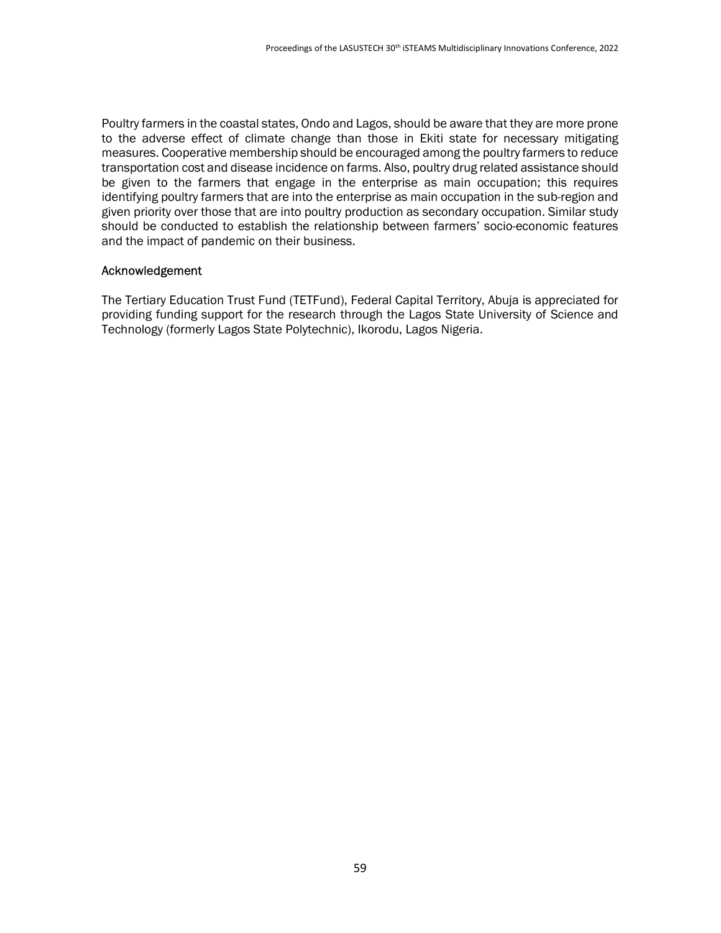Poultry farmers in the coastal states, Ondo and Lagos, should be aware that they are more prone to the adverse effect of climate change than those in Ekiti state for necessary mitigating measures. Cooperative membership should be encouraged among the poultry farmers to reduce transportation cost and disease incidence on farms. Also, poultry drug related assistance should be given to the farmers that engage in the enterprise as main occupation; this requires identifying poultry farmers that are into the enterprise as main occupation in the sub-region and given priority over those that are into poultry production as secondary occupation. Similar study should be conducted to establish the relationship between farmers' socio-economic features and the impact of pandemic on their business.

#### Acknowledgement

The Tertiary Education Trust Fund (TETFund), Federal Capital Territory, Abuja is appreciated for providing funding support for the research through the Lagos State University of Science and Technology (formerly Lagos State Polytechnic), Ikorodu, Lagos Nigeria.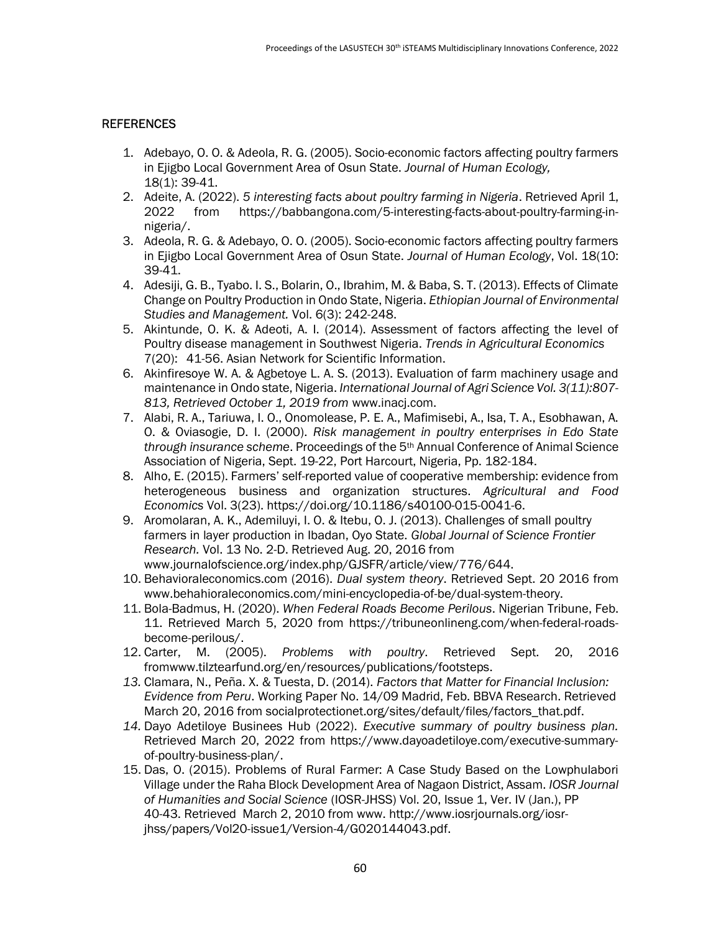#### **REFERENCES**

- 1. Adebayo, O. O. & Adeola, R. G. (2005). Socio-economic factors affecting poultry farmers in Ejigbo Local Government Area of Osun State. Journal of Human Ecology, 18(1): 39-41.
- 2. Adeite, A. (2022). 5 interesting facts about poultry farming in Nigeria. Retrieved April 1, 2022 from https://babbangona.com/5-interesting-facts-about-poultry-farming-innigeria/.
- 3. Adeola, R. G. & Adebayo, O. O. (2005). Socio-economic factors affecting poultry farmers in Ejigbo Local Government Area of Osun State. Journal of Human Ecology, Vol. 18(10: 39-41.
- 4. Adesiji, G. B., Tyabo. I. S., Bolarin, O., Ibrahim, M. & Baba, S. T. (2013). Effects of Climate Change on Poultry Production in Ondo State, Nigeria. Ethiopian Journal of Environmental Studies and Management. Vol. 6(3): 242-248.
- 5. Akintunde, O. K. & Adeoti, A. I. (2014). Assessment of factors affecting the level of Poultry disease management in Southwest Nigeria. Trends in Agricultural Economics 7(20): 41-56. Asian Network for Scientific Information.
- 6. Akinfiresoye W. A. & Agbetoye L. A. S. (2013). Evaluation of farm machinery usage and maintenance in Ondo state, Nigeria. International Journal of Agri Science Vol. 3(11):807- 813, Retrieved October 1, 2019 from www.inacj.com.
- 7. Alabi, R. A., Tariuwa, I. O., Onomolease, P. E. A., Mafimisebi, A., Isa, T. A., Esobhawan, A. O. & Oviasogie, D. I. (2000). Risk management in poultry enterprises in Edo State through insurance scheme. Proceedings of the 5<sup>th</sup> Annual Conference of Animal Science Association of Nigeria, Sept. 19-22, Port Harcourt, Nigeria, Pp. 182-184.
- 8. Alho, E. (2015). Farmers' self-reported value of cooperative membership: evidence from heterogeneous business and organization structures. Agricultural and Food Economics Vol. 3(23). https://doi.org/10.1186/s40100-015-0041-6.
- 9. Aromolaran, A. K., Ademiluyi, I. O. & Itebu, O. J. (2013). Challenges of small poultry farmers in layer production in Ibadan, Oyo State. Global Journal of Science Frontier Research. Vol. 13 No. 2-D. Retrieved Aug. 20, 2016 from www.journalofscience.org/index.php/GJSFR/article/view/776/644.
- 10. Behavioraleconomics.com (2016). Dual system theory. Retrieved Sept. 20 2016 from www.behahioraleconomics.com/mini-encyclopedia-of-be/dual-system-theory.
- 11. Bola-Badmus, H. (2020). When Federal Roads Become Perilous. Nigerian Tribune, Feb. 11. Retrieved March 5, 2020 from https://tribuneonlineng.com/when-federal-roadsbecome-perilous/.
- 12. Carter, M. (2005). Problems with poultry. Retrieved Sept. 20, 2016 fromwww.tilztearfund.org/en/resources/publications/footsteps.
- 13. Clamara, N., Peña. X. & Tuesta, D. (2014). Factors that Matter for Financial Inclusion: Evidence from Peru. Working Paper No. 14/09 Madrid, Feb. BBVA Research. Retrieved March 20, 2016 from socialprotectionet.org/sites/default/files/factors\_that.pdf.
- 14. Dayo Adetiloye Businees Hub (2022). Executive summary of poultry business plan. Retrieved March 20, 2022 from https://www.dayoadetiloye.com/executive-summaryof-poultry-business-plan/.
- 15. Das, O. (2015). Problems of Rural Farmer: A Case Study Based on the Lowphulabori Village under the Raha Block Development Area of Nagaon District, Assam. IOSR Journal of Humanities and Social Science (IOSR-JHSS) Vol. 20, Issue 1, Ver. IV (Jan.), PP 40-43. Retrieved March 2, 2010 from www. http://www.iosrjournals.org/iosrjhss/papers/Vol20-issue1/Version-4/G020144043.pdf.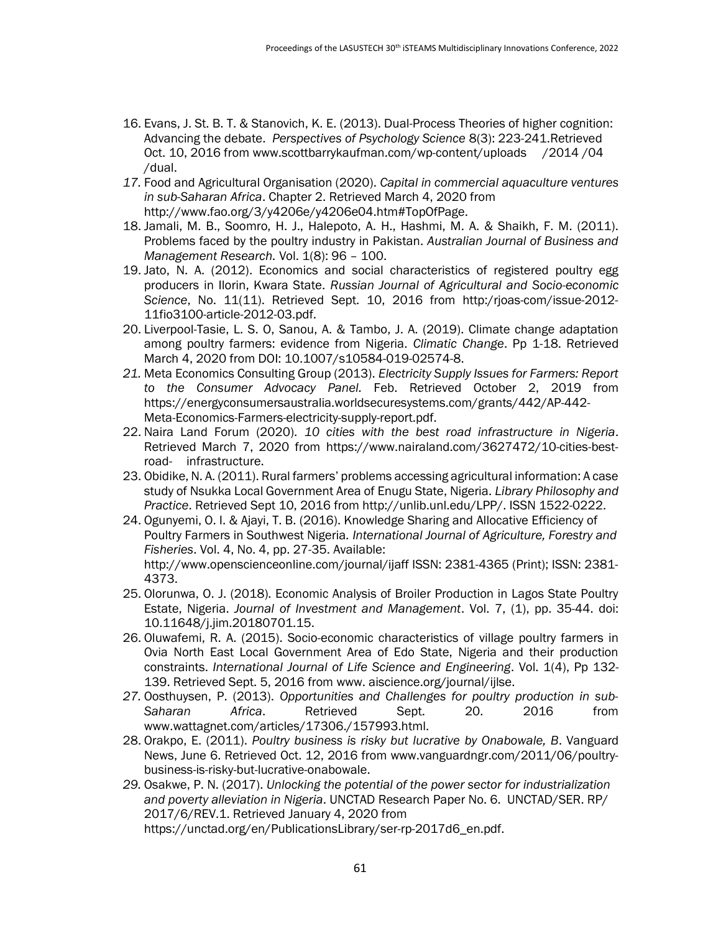- 16. Evans, J. St. B. T. & Stanovich, K. E. (2013). Dual-Process Theories of higher cognition: Advancing the debate. Perspectives of Psychology Science 8(3): 223-241.Retrieved Oct. 10, 2016 from www.scottbarrykaufman.com/wp-content/uploads /2014 /04 /dual.
- 17. Food and Agricultural Organisation (2020). Capital in commercial aquaculture ventures in sub-Saharan Africa. Chapter 2. Retrieved March 4, 2020 from http://www.fao.org/3/y4206e/y4206e04.htm#TopOfPage.
- 18. Jamali, M. B., Soomro, H. J., Halepoto, A. H., Hashmi, M. A. & Shaikh, F. M. (2011). Problems faced by the poultry industry in Pakistan. Australian Journal of Business and Management Research. Vol. 1(8): 96 – 100.
- 19. Jato, N. A. (2012). Economics and social characteristics of registered poultry egg producers in Ilorin, Kwara State. Russian Journal of Agricultural and Socio-economic Science, No. 11(11). Retrieved Sept. 10, 2016 from http:/rjoas-com/issue-2012- 11fio3100-article-2012-03.pdf.
- 20. Liverpool-Tasie, L. S. O, Sanou, A. & Tambo, J. A. (2019). Climate change adaptation among poultry farmers: evidence from Nigeria. Climatic Change. Pp 1-18. Retrieved March 4, 2020 from DOI: 10.1007/s10584-019-02574-8.
- 21. Meta Economics Consulting Group (2013). Electricity Supply Issues for Farmers: Report to the Consumer Advocacy Panel. Feb. Retrieved October 2, 2019 from https://energyconsumersaustralia.worldsecuresystems.com/grants/442/AP-442- Meta-Economics-Farmers-electricity-supply-report.pdf.
- 22. Naira Land Forum (2020). 10 cities with the best road infrastructure in Nigeria. Retrieved March 7, 2020 from https://www.nairaland.com/3627472/10-cities-bestroad- infrastructure.
- 23. Obidike, N. A. (2011). Rural farmers' problems accessing agricultural information: A case study of Nsukka Local Government Area of Enugu State, Nigeria. Library Philosophy and Practice. Retrieved Sept 10, 2016 from http://unlib.unl.edu/LPP/. ISSN 1522-0222.
- 24. Ogunyemi, O. I. & Ajayi, T. B. (2016). Knowledge Sharing and Allocative Efficiency of Poultry Farmers in Southwest Nigeria. International Journal of Agriculture, Forestry and Fisheries. Vol. 4, No. 4, pp. 27-35. Available: http://www.openscienceonline.com/journal/ijaff ISSN: 2381-4365 (Print); ISSN: 2381-

4373.

- 25. Olorunwa, O. J. (2018). Economic Analysis of Broiler Production in Lagos State Poultry Estate, Nigeria. Journal of Investment and Management. Vol. 7, (1), pp. 35-44. doi: 10.11648/j.jim.20180701.15.
- 26. Oluwafemi, R. A. (2015). Socio-economic characteristics of village poultry farmers in Ovia North East Local Government Area of Edo State, Nigeria and their production constraints. International Journal of Life Science and Engineering. Vol. 1(4), Pp 132- 139. Retrieved Sept. 5, 2016 from www. aiscience.org/journal/ijlse.
- 27. Oosthuysen, P. (2013). Opportunities and Challenges for poultry production in sub-Saharan Africa. Retrieved Sept. 20. 2016 from www.wattagnet.com/articles/17306./157993.html.
- 28. Orakpo, E. (2011). Poultry business is risky but lucrative by Onabowale, B. Vanguard News, June 6. Retrieved Oct. 12, 2016 from www.vanguardngr.com/2011/06/poultrybusiness-is-risky-but-lucrative-onabowale.
- 29. Osakwe, P. N. (2017). Unlocking the potential of the power sector for industrialization and poverty alleviation in Nigeria. UNCTAD Research Paper No. 6. UNCTAD/SER. RP/ 2017/6/REV.1. Retrieved January 4, 2020 from https://unctad.org/en/PublicationsLibrary/ser-rp-2017d6\_en.pdf.